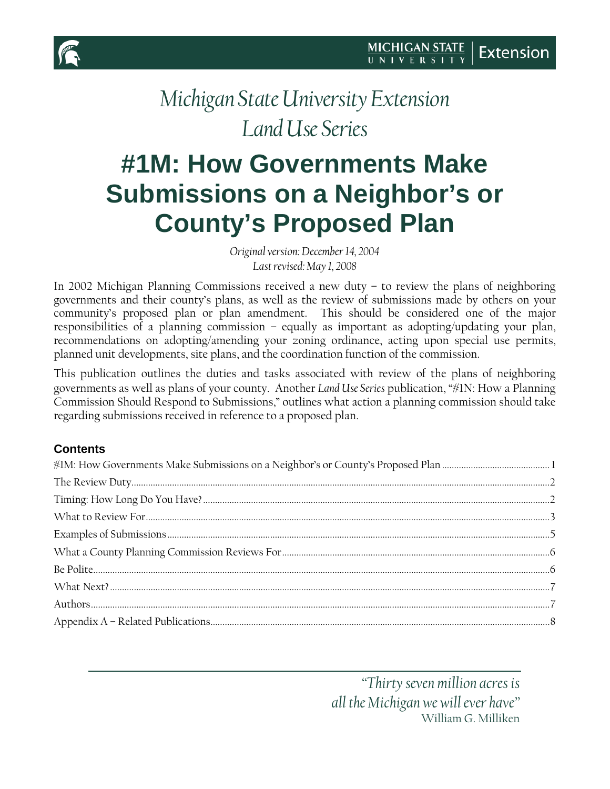

# *Michigan State University Extension Land Use Series*

# <span id="page-0-0"></span>**#1M: How Governments Make Submissions on a Neighbor's or County's Proposed Plan**

*Original version: December 14, 2004 Last revised: May 1, 2008*

In 2002 Michigan Planning Commissions received a new duty – to review the plans of neighboring governments and their county's plans, as well as the review of submissions made by others on your community's proposed plan or plan amendment. This should be considered one of the major responsibilities of a planning commission – equally as important as adopting/updating your plan, recommendations on adopting/amending your zoning ordinance, acting upon special use permits, planned unit developments, site plans, and the coordination function of the commission.

This publication outlines the duties and tasks associated with review of the plans of neighboring governments as well as plans of your county. Another *Land Use Series* publication, "#1N: How a Planning Commission Should Respond to Submissions," outlines what action a planning commission should take regarding submissions received in reference to a proposed plan.

#### **Contents**

*"Thirty seven million acres is all the Michigan we will ever have"* William G. Milliken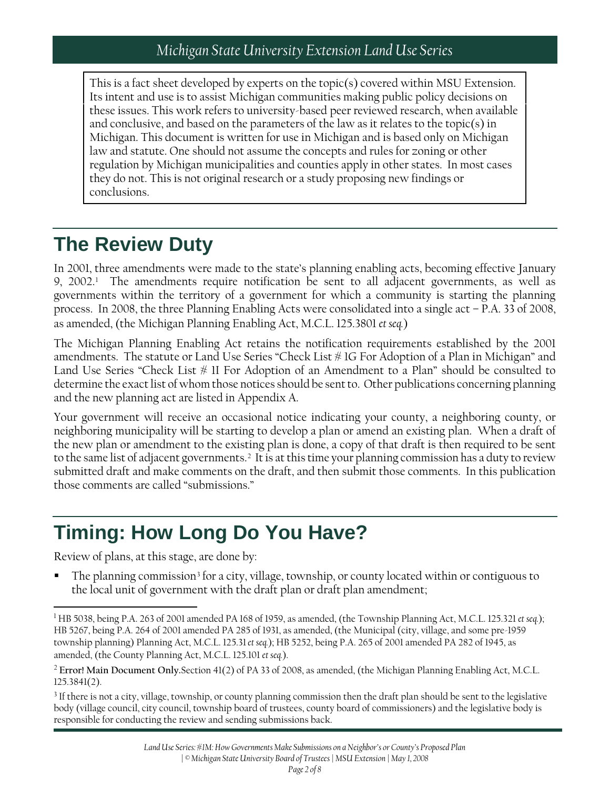This is a fact sheet developed by experts on the topic(s) covered within MSU Extension. Its intent and use is to assist Michigan communities making public policy decisions on these issues. This work refers to university-based peer reviewed research, when available and conclusive, and based on the parameters of the law as it relates to the topic(s) in Michigan. This document is written for use in Michigan and is based only on Michigan law and statute. One should not assume the concepts and rules for zoning or other regulation by Michigan municipalities and counties apply in other states. In most cases they do not. This is not original research or a study proposing new findings or conclusions.

## <span id="page-1-0"></span>**The Review Duty**

In 2001, three amendments were made to the state's planning enabling acts, becoming effective January 9, 2002.[1](#page-1-2) The amendments require notification be sent to all adjacent governments, as well as governments within the territory of a government for which a community is starting the planning process. In 2008, the three Planning Enabling Acts were consolidated into a single act – P.A. 33 of 2008, as amended, (the Michigan Planning Enabling Act, M.C.L. 125.3801 *et seq.*)

The Michigan Planning Enabling Act retains the notification requirements established by the 2001 amendments. The statute or Land Use Series "Check List # 1G For Adoption of a Plan in Michigan" and Land Use Series "Check List  $\#$  II For Adoption of an Amendment to a Plan" should be consulted to determine the exact list of whom those notices should be sent to. Other publications concerning planning and the new planning act are listed in Appendix A.

Your government will receive an occasional notice indicating your county, a neighboring county, or neighboring municipality will be starting to develop a plan or amend an existing plan. When a draft of the new plan or amendment to the existing plan is done, a copy of that draft is then required to be sent to the same list of adjacent governments.<sup>[2](#page-1-3)</sup> It is at this time your planning commission has a duty to review submitted draft and make comments on the draft, and then submit those comments. In this publication those comments are called "submissions."

### <span id="page-1-1"></span>**Timing: How Long Do You Have?**

Review of plans, at this stage, are done by:

l

The planning commission<sup>[3](#page-1-4)</sup> for a city, village, township, or county located within or contiguous to the local unit of government with the draft plan or draft plan amendment;

<span id="page-1-4"></span><sup>3</sup> If there is not a city, village, township, or county planning commission then the draft plan should be sent to the legislative body (village council, city council, township board of trustees, county board of commissioners) and the legislative body is responsible for conducting the review and sending submissions back.

<span id="page-1-2"></span><sup>1</sup> HB 5038, being P.A. 263 of 2001 amended PA 168 of 1959, as amended, (the Township Planning Act, M.C.L. 125.321 *et seq.*); HB 5267, being P.A. 264 of 2001 amended PA 285 of 1931, as amended, (the Municipal (city, village, and some pre-1959 township planning) Planning Act, M.C.L. 125.31*et seq.*); HB 5252, being P.A. 265 of 2001 amended PA 282 of 1945, as amended, (the County Planning Act, M.C.L. 125.101 *et seq.*).

<span id="page-1-3"></span><sup>2</sup> **Error! Main Document Only.**Section 41(2) of PA 33 of 2008, as amended, (the Michigan Planning Enabling Act, M.C.L. 125.3841(2).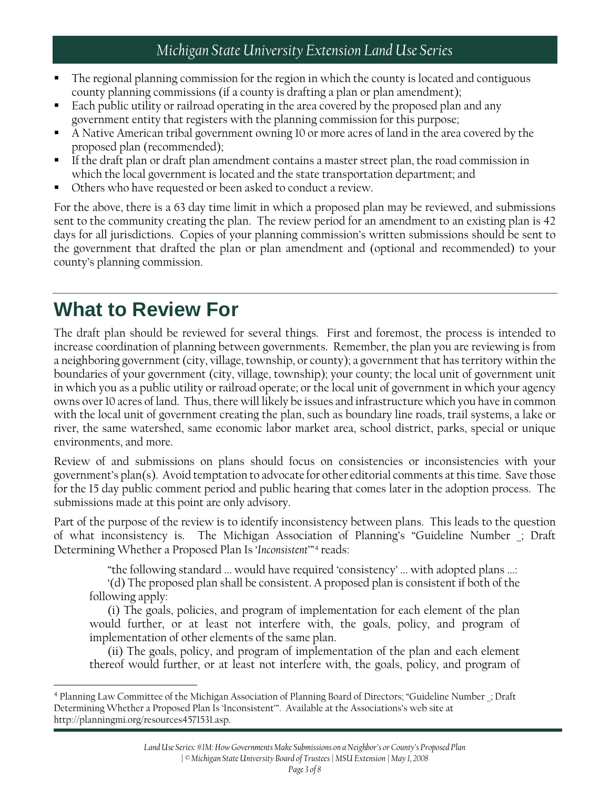#### *Michigan State University Extension Land Use Series*

- The regional planning commission for the region in which the county is located and contiguous county planning commissions (if a county is drafting a plan or plan amendment);
- Each public utility or railroad operating in the area covered by the proposed plan and any government entity that registers with the planning commission for this purpose;
- A Native American tribal government owning 10 or more acres of land in the area covered by the proposed plan (recommended);
- If the draft plan or draft plan amendment contains a master street plan, the road commission in which the local government is located and the state transportation department; and
- Others who have requested or been asked to conduct a review.

For the above, there is a 63 day time limit in which a proposed plan may be reviewed, and submissions sent to the community creating the plan. The review period for an amendment to an existing plan is 42 days for all jurisdictions. Copies of your planning commission's written submissions should be sent to the government that drafted the plan or plan amendment and (optional and recommended) to your county's planning commission.

### <span id="page-2-0"></span>**What to Review For**

l

The draft plan should be reviewed for several things. First and foremost, the process is intended to increase coordination of planning between governments. Remember, the plan you are reviewing is from a neighboring government (city, village, township, or county); a government that has territory within the boundaries of your government (city, village, township); your county; the local unit of government unit in which you as a public utility or railroad operate; or the local unit of government in which your agency owns over 10 acres of land. Thus, there will likely be issues and infrastructure which you have in common with the local unit of government creating the plan, such as boundary line roads, trail systems, a lake or river, the same watershed, same economic labor market area, school district, parks, special or unique environments, and more.

Review of and submissions on plans should focus on consistencies or inconsistencies with your government's plan(s). Avoid temptation to advocate for other editorial comments at this time. Save those for the 15 day public comment period and public hearing that comes later in the adoption process. The submissions made at this point are only advisory.

Part of the purpose of the review is to identify inconsistency between plans. This leads to the question of what inconsistency is. The Michigan Association of Planning's "Guideline Number \_; Draft Determining Whether a Proposed Plan Is '*Inconsistent*'"[4](#page-2-1) reads:

"the following standard ... would have required 'consistency' ... with adopted plans ...:

'(d) The proposed plan shall be consistent. A proposed plan is consistent if both of the following apply:

(i) The goals, policies, and program of implementation for each element of the plan would further, or at least not interfere with, the goals, policy, and program of implementation of other elements of the same plan.

(ii) The goals, policy, and program of implementation of the plan and each element thereof would further, or at least not interfere with, the goals, policy, and program of

<span id="page-2-1"></span><sup>4</sup> Planning Law Committee of the Michigan Association of Planning Board of Directors; "Guideline Number \_; Draft Determining Whether a Proposed Plan Is 'Inconsistent'". Available at the Associations's web site at http://planningmi.org/resources4571531.asp.

*Land Use Series: #1M: How Governments Make Submissions on a Neighbor's or County's Proposed Plan | © Michigan State University Board of Trustees | MSU Extension | May 1, 2008*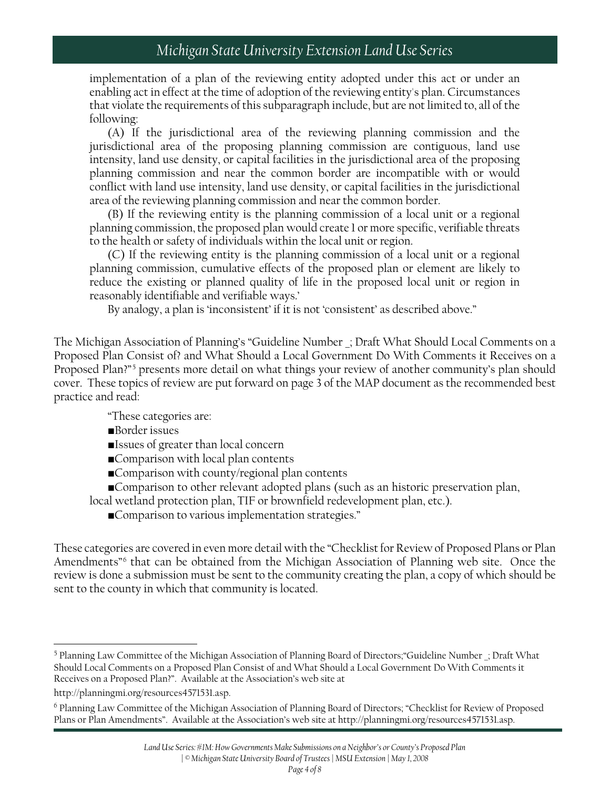#### *Michigan State University Extension Land Use Series*

implementation of a plan of the reviewing entity adopted under this act or under an enabling act in effect at the time of adoption of the reviewing entity's plan. Circumstances that violate the requirements of this subparagraph include, but are not limited to, all of the following:

(A) If the jurisdictional area of the reviewing planning commission and the jurisdictional area of the proposing planning commission are contiguous, land use intensity, land use density, or capital facilities in the jurisdictional area of the proposing planning commission and near the common border are incompatible with or would conflict with land use intensity, land use density, or capital facilities in the jurisdictional area of the reviewing planning commission and near the common border.

(B) If the reviewing entity is the planning commission of a local unit or a regional planning commission, the proposed plan would create 1 or more specific, verifiable threats to the health or safety of individuals within the local unit or region.

(C) If the reviewing entity is the planning commission of a local unit or a regional planning commission, cumulative effects of the proposed plan or element are likely to reduce the existing or planned quality of life in the proposed local unit or region in reasonably identifiable and verifiable ways.'

By analogy, a plan is 'inconsistent' if it is not 'consistent' as described above."

The Michigan Association of Planning's "Guideline Number \_; Draft What Should Local Comments on a Proposed Plan Consist of? and What Should a Local Government Do With Comments it Receives on a Proposed Plan?"[5](#page-3-0) presents more detail on what things your review of another community's plan should cover. These topics of review are put forward on page 3 of the MAP document as the recommended best practice and read:

"These categories are:

- ■Border issues
- ■Issues of greater than local concern
- ■Comparison with local plan contents
- ■Comparison with county/regional plan contents
- ■Comparison to other relevant adopted plans (such as an historic preservation plan,

local wetland protection plan, TIF or brownfield redevelopment plan, etc.).

■Comparison to various implementation strategies."

These categories are covered in even more detail with the "Checklist for Review of Proposed Plans or Plan Amendments<sup>"[6](#page-3-1)</sup> that can be obtained from the Michigan Association of Planning web site. Once the review is done a submission must be sent to the community creating the plan, a copy of which should be sent to the county in which that community is located.

l

<span id="page-3-0"></span><sup>5</sup> Planning Law Committee of the Michigan Association of Planning Board of Directors;"Guideline Number \_; Draft What Should Local Comments on a Proposed Plan Consist of and What Should a Local Government Do With Comments it Receives on a Proposed Plan?". Available at the Association's web site at

http://planningmi.org/resources4571531.asp.

<span id="page-3-1"></span><sup>6</sup> Planning Law Committee of the Michigan Association of Planning Board of Directors; "Checklist for Review of Proposed Plans or Plan Amendments". Available at the Association's web site at http://planningmi.org/resources4571531.asp.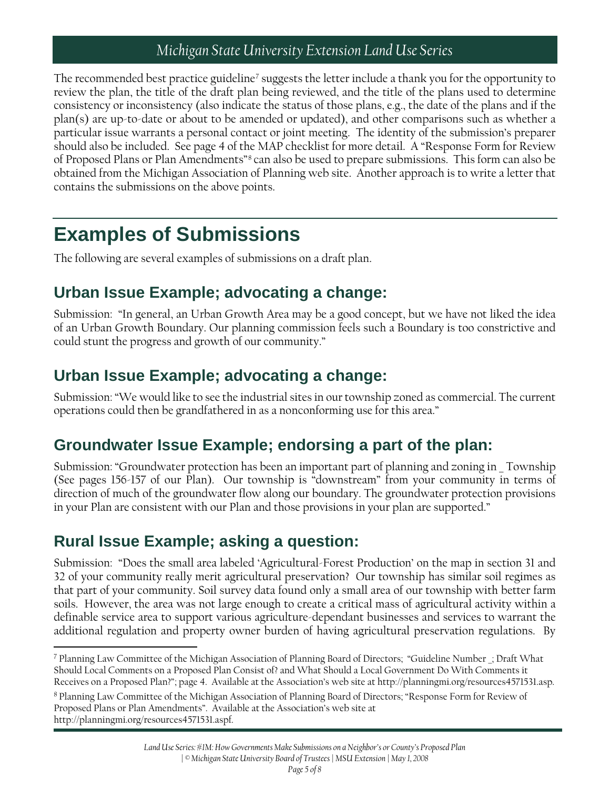#### *Michigan State University Extension Land Use Series*

The recommended best practice guideline<sup>[7](#page-4-1)</sup> suggests the letter include a thank you for the opportunity to review the plan, the title of the draft plan being reviewed, and the title of the plans used to determine consistency or inconsistency (also indicate the status of those plans, e.g., the date of the plans and if the plan(s) are up-to-date or about to be amended or updated), and other comparisons such as whether a particular issue warrants a personal contact or joint meeting. The identity of the submission's preparer should also be included. See page 4 of the MAP checklist for more detail. A "Response Form for Review of Proposed Plans or Plan Amendments"[8](#page-4-2) can also be used to prepare submissions. This form can also be obtained from the Michigan Association of Planning web site. Another approach is to write a letter that contains the submissions on the above points.

### <span id="page-4-0"></span>**Examples of Submissions**

The following are several examples of submissions on a draft plan.

### **Urban Issue Example; advocating a change:**

Submission: "In general, an Urban Growth Area may be a good concept, but we have not liked the idea of an Urban Growth Boundary. Our planning commission feels such a Boundary is too constrictive and could stunt the progress and growth of our community."

### **Urban Issue Example; advocating a change:**

Submission: "We would like to see the industrial sites in our township zoned as commercial. The current operations could then be grandfathered in as a nonconforming use for this area."

### **Groundwater Issue Example; endorsing a part of the plan:**

Submission: "Groundwater protection has been an important part of planning and zoning in \_ Township (See pages 156-157 of our Plan). Our township is "downstream" from your community in terms of direction of much of the groundwater flow along our boundary. The groundwater protection provisions in your Plan are consistent with our Plan and those provisions in your plan are supported."

### **Rural Issue Example; asking a question:**

Submission: "Does the small area labeled 'Agricultural-Forest Production' on the map in section 31 and 32 of your community really merit agricultural preservation? Our township has similar soil regimes as that part of your community. Soil survey data found only a small area of our township with better farm soils. However, the area was not large enough to create a critical mass of agricultural activity within a definable service area to support various agriculture-dependant businesses and services to warrant the additional regulation and property owner burden of having agricultural preservation regulations. By

<span id="page-4-1"></span>l <sup>7</sup> Planning Law Committee of the Michigan Association of Planning Board of Directors; "Guideline Number \_; Draft What Should Local Comments on a Proposed Plan Consist of? and What Should a Local Government Do With Comments it Receives on a Proposed Plan?"; page 4. Available at the Association's web site at http://planningmi.org/resources4571531.asp.

<span id="page-4-2"></span><sup>8</sup> Planning Law Committee of the Michigan Association of Planning Board of Directors; "Response Form for Review of Proposed Plans or Plan Amendments". Available at the Association's web site at http://planningmi.org/resources4571531.aspf.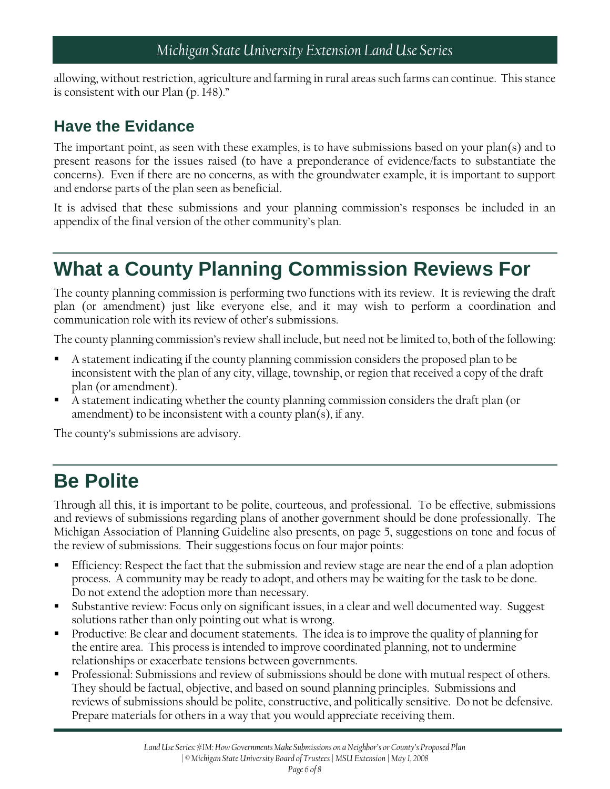allowing, without restriction, agriculture and farming in rural areas such farms can continue. This stance is consistent with our Plan (p. 148)."

### **Have the Evidance**

The important point, as seen with these examples, is to have submissions based on your plan(s) and to present reasons for the issues raised (to have a preponderance of evidence/facts to substantiate the concerns). Even if there are no concerns, as with the groundwater example, it is important to support and endorse parts of the plan seen as beneficial.

It is advised that these submissions and your planning commission's responses be included in an appendix of the final version of the other community's plan.

## <span id="page-5-0"></span>**What a County Planning Commission Reviews For**

The county planning commission is performing two functions with its review. It is reviewing the draft plan (or amendment) just like everyone else, and it may wish to perform a coordination and communication role with its review of other's submissions.

The county planning commission's review shall include, but need not be limited to, both of the following:

- A statement indicating if the county planning commission considers the proposed plan to be inconsistent with the plan of any city, village, township, or region that received a copy of the draft plan (or amendment).
- A statement indicating whether the county planning commission considers the draft plan (or amendment) to be inconsistent with a county plan(s), if any.

<span id="page-5-1"></span>The county's submissions are advisory.

### **Be Polite**

Through all this, it is important to be polite, courteous, and professional. To be effective, submissions and reviews of submissions regarding plans of another government should be done professionally. The Michigan Association of Planning Guideline also presents, on page 5, suggestions on tone and focus of the review of submissions. Their suggestions focus on four major points:

- Efficiency: Respect the fact that the submission and review stage are near the end of a plan adoption process. A community may be ready to adopt, and others may be waiting for the task to be done. Do not extend the adoption more than necessary.
- Substantive review: Focus only on significant issues, in a clear and well documented way. Suggest solutions rather than only pointing out what is wrong.
- Productive: Be clear and document statements. The idea is to improve the quality of planning for the entire area. This process is intended to improve coordinated planning, not to undermine relationships or exacerbate tensions between governments.
- Professional: Submissions and review of submissions should be done with mutual respect of others. They should be factual, objective, and based on sound planning principles. Submissions and reviews of submissions should be polite, constructive, and politically sensitive. Do not be defensive. Prepare materials for others in a way that you would appreciate receiving them.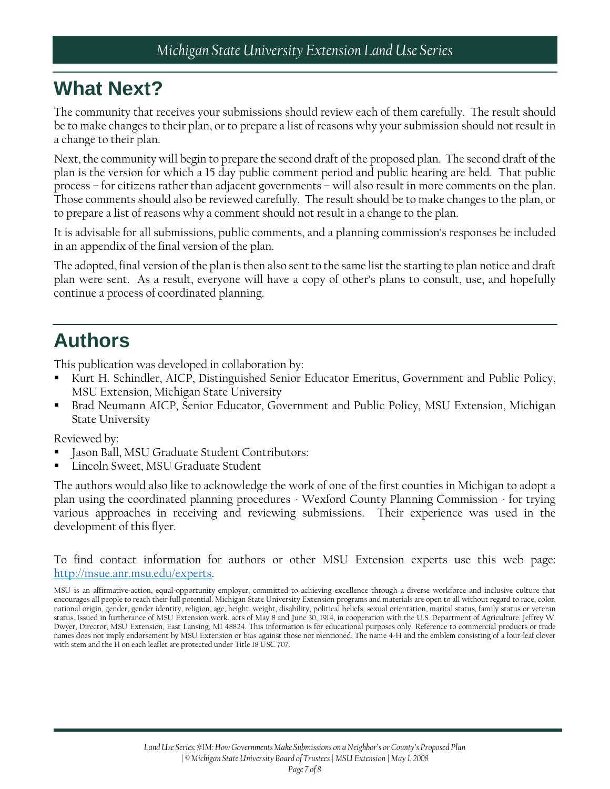### <span id="page-6-0"></span>**What Next?**

The community that receives your submissions should review each of them carefully. The result should be to make changes to their plan, or to prepare a list of reasons why your submission should not result in a change to their plan.

Next, the community will begin to prepare the second draft of the proposed plan. The second draft of the plan is the version for which a 15 day public comment period and public hearing are held. That public process – for citizens rather than adjacent governments – will also result in more comments on the plan. Those comments should also be reviewed carefully. The result should be to make changes to the plan, or to prepare a list of reasons why a comment should not result in a change to the plan.

It is advisable for all submissions, public comments, and a planning commission's responses be included in an appendix of the final version of the plan.

The adopted, final version of the plan is then also sent to the same list the starting to plan notice and draft plan were sent. As a result, everyone will have a copy of other's plans to consult, use, and hopefully continue a process of coordinated planning.

### <span id="page-6-1"></span>**Authors**

This publication was developed in collaboration by:

- Kurt H. Schindler, AICP, Distinguished Senior Educator Emeritus, Government and Public Policy, MSU Extension, Michigan State University
- Brad Neumann AICP, Senior Educator, Government and Public Policy, MSU Extension, Michigan State University

Reviewed by:

- Jason Ball, MSU Graduate Student Contributors:
- Lincoln Sweet, MSU Graduate Student

The authors would also like to acknowledge the work of one of the first counties in Michigan to adopt a plan using the coordinated planning procedures - Wexford County Planning Commission - for trying various approaches in receiving and reviewing submissions. Their experience was used in the development of this flyer.

To find contact information for authors or other MSU Extension experts use this web page: [http://msue.anr.msu.edu/experts.](http://msue.anr.msu.edu/experts)

MSU is an affirmative-action, equal-opportunity employer, committed to achieving excellence through a diverse workforce and inclusive culture that encourages all people to reach their full potential. Michigan State University Extension programs and materials are open to all without regard to race, color, national origin, gender, gender identity, religion, age, height, weight, disability, political beliefs, sexual orientation, marital status, family status or veteran status. Issued in furtherance of MSU Extension work, acts of May 8 and June 30, 1914, in cooperation with the U.S. Department of Agriculture. Jeffrey W. Dwyer, Director, MSU Extension, East Lansing, MI 48824. This information is for educational purposes only. Reference to commercial products or trade names does not imply endorsement by MSU Extension or bias against those not mentioned. The name 4-H and the emblem consisting of a four-leaf clover with stem and the H on each leaflet are protected under Title 18 USC 707.